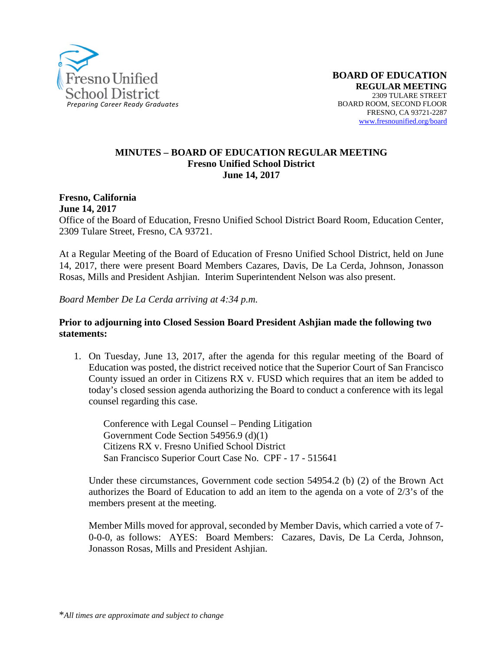

#### **MINUTES – BOARD OF EDUCATION REGULAR MEETING Fresno Unified School District June 14, 2017**

**Fresno, California June 14, 2017** 

Office of the Board of Education, Fresno Unified School District Board Room, Education Center, 2309 Tulare Street, Fresno, CA 93721.

At a Regular Meeting of the Board of Education of Fresno Unified School District, held on June 14, 2017, there were present Board Members Cazares, Davis, De La Cerda, Johnson, Jonasson Rosas, Mills and President Ashjian. Interim Superintendent Nelson was also present.

*Board Member De La Cerda arriving at 4:34 p.m.* 

#### **Prior to adjourning into Closed Session Board President Ashjian made the following two statements:**

1. On Tuesday, June 13, 2017, after the agenda for this regular meeting of the Board of Education was posted, the district received notice that the Superior Court of San Francisco County issued an order in Citizens RX v. FUSD which requires that an item be added to today's closed session agenda authorizing the Board to conduct a conference with its legal counsel regarding this case.

Conference with Legal Counsel – Pending Litigation Government Code Section 54956.9 (d)(1) Citizens RX v. Fresno Unified School District San Francisco Superior Court Case No. CPF - 17 - 515641

Under these circumstances, Government code section 54954.2 (b) (2) of the Brown Act authorizes the Board of Education to add an item to the agenda on a vote of 2/3's of the members present at the meeting.

Member Mills moved for approval, seconded by Member Davis, which carried a vote of 7- 0-0-0, as follows: AYES: Board Members: Cazares, Davis, De La Cerda, Johnson, Jonasson Rosas, Mills and President Ashjian.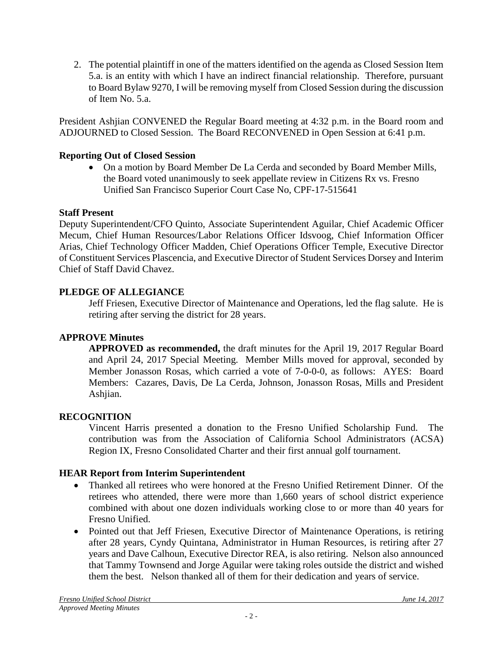2. The potential plaintiff in one of the matters identified on the agenda as Closed Session Item 5.a. is an entity with which I have an indirect financial relationship. Therefore, pursuant to Board Bylaw 9270, I will be removing myself from Closed Session during the discussion of Item No. 5.a.

President Ashjian CONVENED the Regular Board meeting at 4:32 p.m. in the Board room and ADJOURNED to Closed Session. The Board RECONVENED in Open Session at 6:41 p.m.

## **Reporting Out of Closed Session**

• On a motion by Board Member De La Cerda and seconded by Board Member Mills, the Board voted unanimously to seek appellate review in Citizens Rx vs. Fresno Unified San Francisco Superior Court Case No, CPF-17-515641

### **Staff Present**

Deputy Superintendent/CFO Quinto, Associate Superintendent Aguilar, Chief Academic Officer Mecum, Chief Human Resources/Labor Relations Officer Idsvoog, Chief Information Officer Arias, Chief Technology Officer Madden, Chief Operations Officer Temple, Executive Director of Constituent Services Plascencia, and Executive Director of Student Services Dorsey and Interim Chief of Staff David Chavez.

# **PLEDGE OF ALLEGIANCE**

Jeff Friesen, Executive Director of Maintenance and Operations, led the flag salute. He is retiring after serving the district for 28 years.

### **APPROVE Minutes**

**APPROVED as recommended,** the draft minutes for the April 19, 2017 Regular Board and April 24, 2017 Special Meeting. Member Mills moved for approval, seconded by Member Jonasson Rosas, which carried a vote of 7-0-0-0, as follows: AYES: Board Members: Cazares, Davis, De La Cerda, Johnson, Jonasson Rosas, Mills and President Ashjian.

### **RECOGNITION**

Vincent Harris presented a donation to the Fresno Unified Scholarship Fund. The contribution was from the Association of California School Administrators (ACSA) Region IX, Fresno Consolidated Charter and their first annual golf tournament.

### **HEAR Report from Interim Superintendent**

- Thanked all retirees who were honored at the [Fresno Unified Retirement Dinner.](https://vimeo.com/221295803) Of the retirees who attended, there were more than 1,660 years of school district experience combined with about one dozen individuals working close to or more than 40 years for Fresno Unified.
- Pointed out that Jeff Friesen, Executive Director of Maintenance Operations, is retiring after 28 years, Cyndy Quintana, Administrator in Human Resources, is retiring after 27 years and Dave Calhoun, Executive Director REA, is also retiring. Nelson also announced that Tammy Townsend and Jorge Aguilar were taking roles outside the district and wished them the best. Nelson thanked all of them for their dedication and years of service.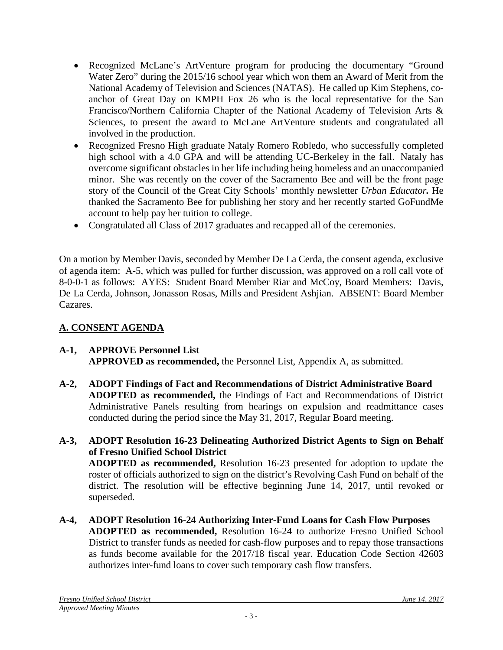- Recognized McLane's ArtVenture program for producing the documentary "Ground Water Zero" during the 2015/16 school year which won them an Award of Merit from the National Academy of Television and Sciences (NATAS). He called up Kim Stephens, coanchor of Great Day on KMPH Fox 26 who is the local representative for the San Francisco/Northern California Chapter of the National Academy of Television Arts & Sciences, to present the award to McLane ArtVenture students and congratulated all involved in the production.
- Recognized Fresno High graduate Nataly Romero Robledo, who successfully completed high school with a 4.0 GPA and will be attending UC-Berkeley in the fall. Nataly has overcome significant obstacles in her life including being homeless and an unaccompanied minor. She was recently on the [cover of the Sacramento Bee](http://www.sacbee.com/news/local/article155540249.html) and will be the front page story of the Council of the Great City Schools' monthly newsletter *Urban Educator.* He thanked the Sacramento Bee for publishing her story and her recently started [GoFundMe](https://www.gofundme.com/nataly-romero-college-tuition)  [account](https://www.gofundme.com/nataly-romero-college-tuition) to help pay her tuition to college.
- Congratulated all Class of 2017 graduates and recapped all of the ceremonies.

On a motion by Member Davis, seconded by Member De La Cerda, the consent agenda, exclusive of agenda item: A-5, which was pulled for further discussion, was approved on a roll call vote of 8-0-0-1 as follows: AYES: Student Board Member Riar and McCoy, Board Members: Davis, De La Cerda, Johnson, Jonasson Rosas, Mills and President Ashjian. ABSENT: Board Member Cazares.

# **A. CONSENT AGENDA**

### **A-1, APPROVE Personnel List APPROVED as recommended,** the Personnel List, Appendix A, as submitted.

- **A-2, ADOPT Findings of Fact and Recommendations of District Administrative Board ADOPTED as recommended,** the Findings of Fact and Recommendations of District Administrative Panels resulting from hearings on expulsion and readmittance cases conducted during the period since the May 31, 2017, Regular Board meeting.
- **A-3, ADOPT Resolution 16-23 Delineating Authorized District Agents to Sign on Behalf of Fresno Unified School District ADOPTED as recommended,** Resolution 16-23 presented for adoption to update the roster of officials authorized to sign on the district's Revolving Cash Fund on behalf of the district. The resolution will be effective beginning June 14, 2017, until revoked or superseded.
- **A-4, ADOPT Resolution 16-24 Authorizing Inter-Fund Loans for Cash Flow Purposes ADOPTED as recommended,** Resolution 16-24 to authorize Fresno Unified School District to transfer funds as needed for cash-flow purposes and to repay those transactions as funds become available for the 2017/18 fiscal year. Education Code Section 42603 authorizes inter-fund loans to cover such temporary cash flow transfers.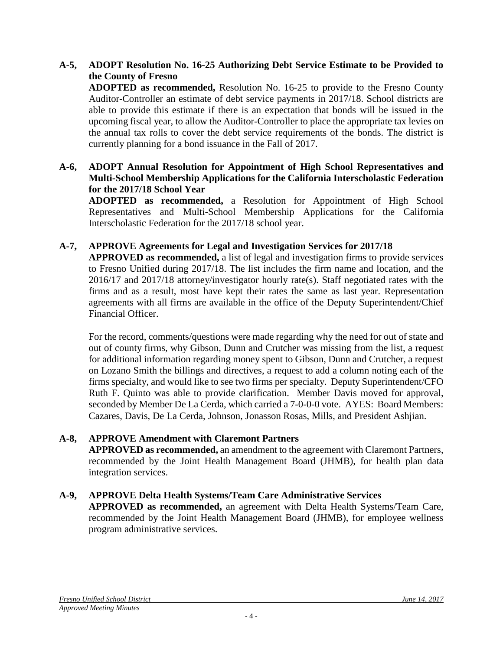# **A-5, ADOPT Resolution No. 16-25 Authorizing Debt Service Estimate to be Provided to the County of Fresno**

**ADOPTED as recommended,** Resolution No. 16-25 to provide to the Fresno County Auditor-Controller an estimate of debt service payments in 2017/18. School districts are able to provide this estimate if there is an expectation that bonds will be issued in the upcoming fiscal year, to allow the Auditor-Controller to place the appropriate tax levies on the annual tax rolls to cover the debt service requirements of the bonds. The district is currently planning for a bond issuance in the Fall of 2017.

## **A-6, ADOPT Annual Resolution for Appointment of High School Representatives and Multi-School Membership Applications for the California Interscholastic Federation for the 2017/18 School Year**

**ADOPTED as recommended,** a Resolution for Appointment of High School Representatives and Multi-School Membership Applications for the California Interscholastic Federation for the 2017/18 school year.

## **A-7, APPROVE Agreements for Legal and Investigation Services for 2017/18**

**APPROVED as recommended,** a list of legal and investigation firms to provide services to Fresno Unified during 2017/18. The list includes the firm name and location, and the 2016/17 and 2017/18 attorney/investigator hourly rate(s). Staff negotiated rates with the firms and as a result, most have kept their rates the same as last year. Representation agreements with all firms are available in the office of the Deputy Superintendent/Chief Financial Officer.

For the record, comments/questions were made regarding why the need for out of state and out of county firms, why Gibson, Dunn and Crutcher was missing from the list, a request for additional information regarding money spent to Gibson, Dunn and Crutcher, a request on Lozano Smith the billings and directives, a request to add a column noting each of the firms specialty, and would like to see two firms per specialty. Deputy Superintendent/CFO Ruth F. Quinto was able to provide clarification. Member Davis moved for approval, seconded by Member De La Cerda, which carried a 7-0-0-0 vote. AYES: Board Members: Cazares, Davis, De La Cerda, Johnson, Jonasson Rosas, Mills, and President Ashjian.

### **A-8, APPROVE Amendment with Claremont Partners**

**APPROVED as recommended,** an amendment to the agreement with Claremont Partners, recommended by the Joint Health Management Board (JHMB), for health plan data integration services.

### **A-9, APPROVE Delta Health Systems/Team Care Administrative Services**

**APPROVED as recommended,** an agreement with Delta Health Systems/Team Care, recommended by the Joint Health Management Board (JHMB), for employee wellness program administrative services.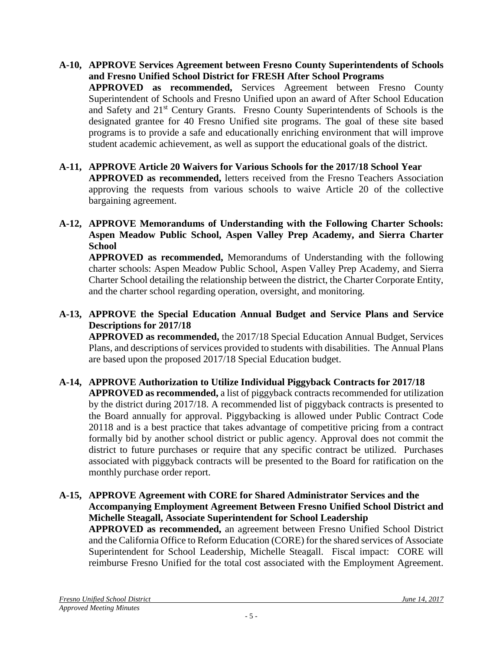- **A-10, APPROVE Services Agreement between Fresno County Superintendents of Schools and Fresno Unified School District for FRESH After School Programs APPROVED as recommended,** Services Agreement between Fresno County Superintendent of Schools and Fresno Unified upon an award of After School Education and Safety and 21st Century Grants. Fresno County Superintendents of Schools is the designated grantee for 40 Fresno Unified site programs. The goal of these site based programs is to provide a safe and educationally enriching environment that will improve student academic achievement, as well as support the educational goals of the district.
- **A-11, APPROVE Article 20 Waivers for Various Schools for the 2017/18 School Year APPROVED as recommended,** letters received from the Fresno Teachers Association approving the requests from various schools to waive Article 20 of the collective bargaining agreement.
- **A-12, APPROVE Memorandums of Understanding with the Following Charter Schools: Aspen Meadow Public School, Aspen Valley Prep Academy, and Sierra Charter School**

**APPROVED as recommended,** Memorandums of Understanding with the following charter schools: Aspen Meadow Public School, Aspen Valley Prep Academy, and Sierra Charter School detailing the relationship between the district, the Charter Corporate Entity, and the charter school regarding operation, oversight, and monitoring.

## **A-13, APPROVE the Special Education Annual Budget and Service Plans and Service Descriptions for 2017/18**

**APPROVED as recommended,** the 2017/18 Special Education Annual Budget, Services Plans, and descriptions of services provided to students with disabilities. The Annual Plans are based upon the proposed 2017/18 Special Education budget.

### **A-14, APPROVE Authorization to Utilize Individual Piggyback Contracts for 2017/18 APPROVED as recommended,** a list of piggyback contracts recommended for utilization by the district during 2017/18. A recommended list of piggyback contracts is presented to the Board annually for approval. Piggybacking is allowed under Public Contract Code 20118 and is a best practice that takes advantage of competitive pricing from a contract formally bid by another school district or public agency. Approval does not commit the district to future purchases or require that any specific contract be utilized. Purchases associated with piggyback contracts will be presented to the Board for ratification on the monthly purchase order report.

### **A-15, APPROVE Agreement with CORE for Shared Administrator Services and the Accompanying Employment Agreement Between Fresno Unified School District and Michelle Steagall, Associate Superintendent for School Leadership APPROVED as recommended,** an agreement between Fresno Unified School District and the California Office to Reform Education (CORE) for the shared services of Associate

Superintendent for School Leadership, Michelle Steagall. Fiscal impact: CORE will reimburse Fresno Unified for the total cost associated with the Employment Agreement.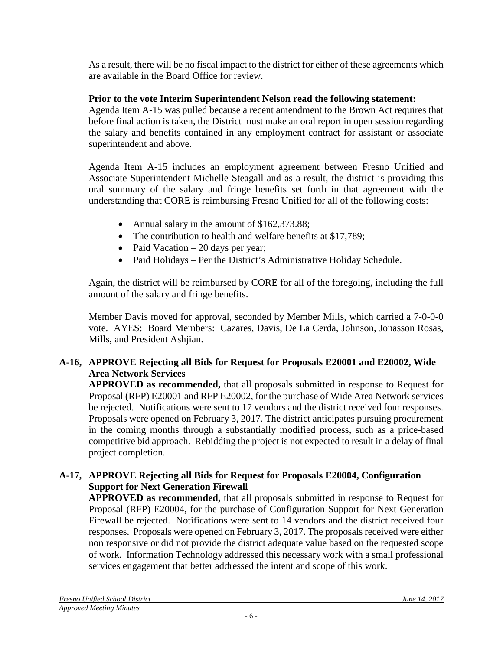As a result, there will be no fiscal impact to the district for either of these agreements which are available in the Board Office for review.

# **Prior to the vote Interim Superintendent Nelson read the following statement:**

Agenda Item A-15 was pulled because a recent amendment to the Brown Act requires that before final action is taken, the District must make an oral report in open session regarding the salary and benefits contained in any employment contract for assistant or associate superintendent and above.

Agenda Item A-15 includes an employment agreement between Fresno Unified and Associate Superintendent Michelle Steagall and as a result, the district is providing this oral summary of the salary and fringe benefits set forth in that agreement with the understanding that CORE is reimbursing Fresno Unified for all of the following costs:

- Annual salary in the amount of \$162,373.88;
- The contribution to health and welfare benefits at \$17,789;
- Paid Vacation  $-20$  days per year;
- Paid Holidays Per the District's Administrative Holiday Schedule.

Again, the district will be reimbursed by CORE for all of the foregoing, including the full amount of the salary and fringe benefits.

Member Davis moved for approval, seconded by Member Mills, which carried a 7-0-0-0 vote. AYES: Board Members: Cazares, Davis, De La Cerda, Johnson, Jonasson Rosas, Mills, and President Ashjian.

# **A-16, APPROVE Rejecting all Bids for Request for Proposals E20001 and E20002, Wide Area Network Services**

**APPROVED as recommended,** that all proposals submitted in response to Request for Proposal (RFP) E20001 and RFP E20002, for the purchase of Wide Area Network services be rejected. Notifications were sent to 17 vendors and the district received four responses. Proposals were opened on February 3, 2017. The district anticipates pursuing procurement in the coming months through a substantially modified process, such as a price-based competitive bid approach. Rebidding the project is not expected to result in a delay of final project completion.

# **A-17, APPROVE Rejecting all Bids for Request for Proposals E20004, Configuration Support for Next Generation Firewall**

**APPROVED as recommended,** that all proposals submitted in response to Request for Proposal (RFP) E20004, for the purchase of Configuration Support for Next Generation Firewall be rejected. Notifications were sent to 14 vendors and the district received four responses. Proposals were opened on February 3, 2017. The proposals received were either non responsive or did not provide the district adequate value based on the requested scope of work. Information Technology addressed this necessary work with a small professional services engagement that better addressed the intent and scope of this work.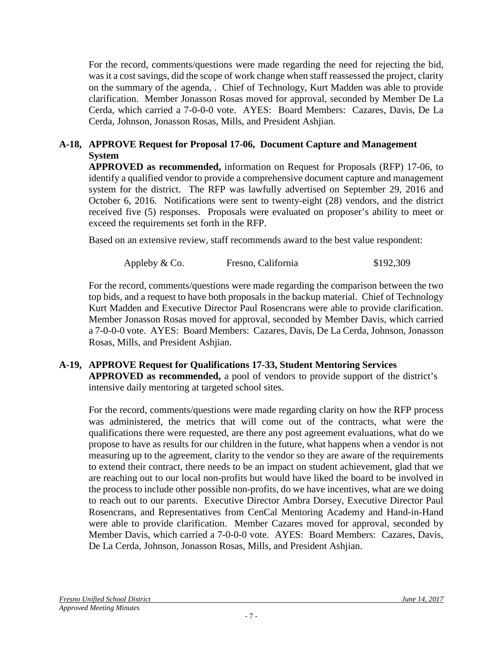For the record, comments/questions were made regarding the need for rejecting the bid, was it a cost savings, did the scope of work change when staff reassessed the project, clarity on the summary of the agenda, . Chief of Technology, Kurt Madden was able to provide clarification. Member Jonasson Rosas moved for approval, seconded by Member De La Cerda, which carried a 7-0-0-0 vote. AYES: Board Members: Cazares, Davis, De La Cerda, Johnson, Jonasson Rosas, Mills, and President Ashjian.

## **A-18, APPROVE Request for Proposal 17-06, Document Capture and Management System**

**APPROVED as recommended,** information on Request for Proposals (RFP) 17-06, to identify a qualified vendor to provide a comprehensive document capture and management system for the district. The RFP was lawfully advertised on September 29, 2016 and October 6, 2016. Notifications were sent to twenty-eight (28) vendors, and the district received five (5) responses. Proposals were evaluated on proposer's ability to meet or exceed the requirements set forth in the RFP.

Based on an extensive review, staff recommends award to the best value respondent:

Appleby & Co. Fresno, California  $$192,309$ 

For the record, comments/questions were made regarding the comparison between the two top bids, and a request to have both proposals in the backup material. Chief of Technology Kurt Madden and Executive Director Paul Rosencrans were able to provide clarification. Member Jonasson Rosas moved for approval, seconded by Member Davis, which carried a 7-0-0-0 vote. AYES: Board Members: Cazares, Davis, De La Cerda, Johnson, Jonasson Rosas, Mills, and President Ashjian.

## **A-19, APPROVE Request for Qualifications 17-33, Student Mentoring Services APPROVED as recommended,** a pool of vendors to provide support of the district's intensive daily mentoring at targeted school sites.

For the record, comments/questions were made regarding clarity on how the RFP process was administered, the metrics that will come out of the contracts, what were the qualifications there were requested, are there any post agreement evaluations, what do we propose to have as results for our children in the future, what happens when a vendor is not measuring up to the agreement, clarity to the vendor so they are aware of the requirements to extend their contract, there needs to be an impact on student achievement, glad that we are reaching out to our local non-profits but would have liked the board to be involved in the process to include other possible non-profits, do we have incentives, what are we doing to reach out to our parents. Executive Director Ambra Dorsey, Executive Director Paul Rosencrans, and Representatives from CenCal Mentoring Academy and Hand-in-Hand were able to provide clarification. Member Cazares moved for approval, seconded by Member Davis, which carried a 7-0-0-0 vote. AYES: Board Members: Cazares, Davis, De La Cerda, Johnson, Jonasson Rosas, Mills, and President Ashjian.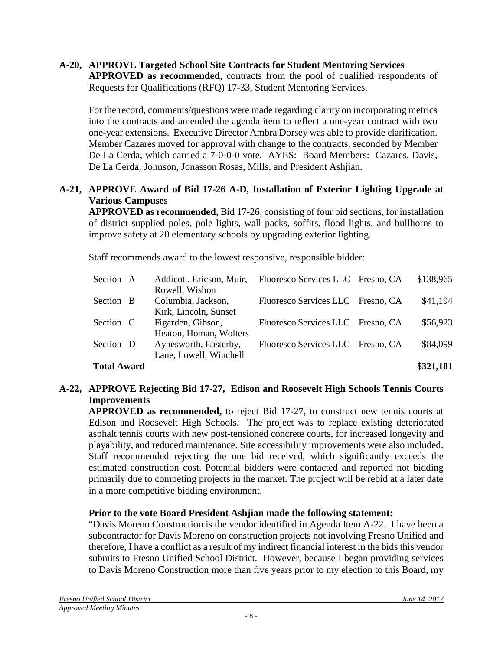#### **A-20, APPROVE Targeted School Site Contracts for Student Mentoring Services APPROVED as recommended,** contracts from the pool of qualified respondents of Requests for Qualifications (RFQ) 17-33, Student Mentoring Services.

For the record, comments/questions were made regarding clarity on incorporating metrics into the contracts and amended the agenda item to reflect a one-year contract with two one-year extensions. Executive Director Ambra Dorsey was able to provide clarification. Member Cazares moved for approval with change to the contracts, seconded by Member De La Cerda, which carried a 7-0-0-0 vote. AYES: Board Members: Cazares, Davis, De La Cerda, Johnson, Jonasson Rosas, Mills, and President Ashjian.

# **A-21, APPROVE Award of Bid 17-26 A-D, Installation of Exterior Lighting Upgrade at Various Campuses**

**APPROVED as recommended,** Bid 17-26, consisting of four bid sections, for installation of district supplied poles, pole lights, wall packs, soffits, flood lights, and bullhorns to improve safety at 20 elementary schools by upgrading exterior lighting.

Staff recommends award to the lowest responsive, responsible bidder:

| <b>Total Award</b> |                          |                                   | \$321,181 |
|--------------------|--------------------------|-----------------------------------|-----------|
|                    | Lane, Lowell, Winchell   |                                   |           |
| Section D          | Aynesworth, Easterby,    | Fluoresco Services LLC Fresno, CA | \$84,099  |
|                    | Heaton, Homan, Wolters   |                                   |           |
| Section C          | Figarden, Gibson,        | Fluoresco Services LLC Fresno, CA | \$56,923  |
|                    | Kirk, Lincoln, Sunset    |                                   |           |
| Section B          | Columbia, Jackson,       | Fluoresco Services LLC Fresno, CA | \$41,194  |
|                    | Rowell, Wishon           |                                   |           |
| Section A          | Addicott, Ericson, Muir, | Fluoresco Services LLC Fresno, CA | \$138,965 |

## **A-22, APPROVE Rejecting Bid 17-27, Edison and Roosevelt High Schools Tennis Courts Improvements**

**APPROVED as recommended,** to reject Bid 17-27, to construct new tennis courts at Edison and Roosevelt High Schools. The project was to replace existing deteriorated asphalt tennis courts with new post-tensioned concrete courts, for increased longevity and playability, and reduced maintenance. Site accessibility improvements were also included. Staff recommended rejecting the one bid received, which significantly exceeds the estimated construction cost. Potential bidders were contacted and reported not bidding primarily due to competing projects in the market. The project will be rebid at a later date in a more competitive bidding environment.

# **Prior to the vote Board President Ashjian made the following statement:**

"Davis Moreno Construction is the vendor identified in Agenda Item A-22. I have been a subcontractor for Davis Moreno on construction projects not involving Fresno Unified and therefore, I have a conflict as a result of my indirect financial interest in the bids this vendor submits to Fresno Unified School District. However, because I began providing services to Davis Moreno Construction more than five years prior to my election to this Board, my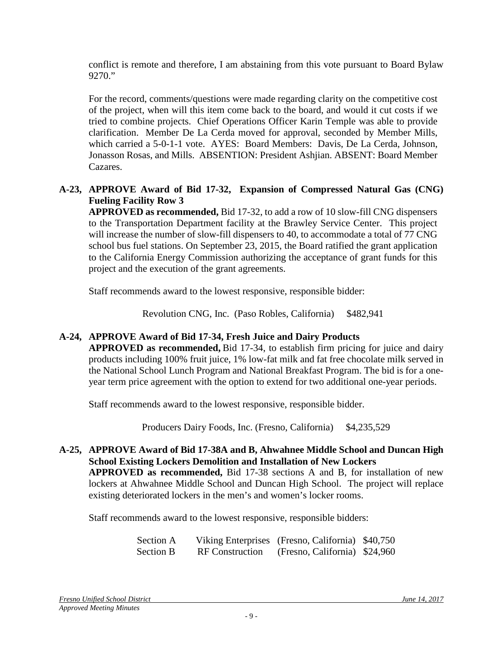conflict is remote and therefore, I am abstaining from this vote pursuant to Board Bylaw 9270."

For the record, comments/questions were made regarding clarity on the competitive cost of the project, when will this item come back to the board, and would it cut costs if we tried to combine projects. Chief Operations Officer Karin Temple was able to provide clarification. Member De La Cerda moved for approval, seconded by Member Mills, which carried a 5-0-1-1 vote. AYES: Board Members: Davis, De La Cerda, Johnson, Jonasson Rosas, and Mills. ABSENTION: President Ashjian. ABSENT: Board Member Cazares.

## **A-23, APPROVE Award of Bid 17-32, Expansion of Compressed Natural Gas (CNG) Fueling Facility Row 3**

**APPROVED as recommended,** Bid 17-32, to add a row of 10 slow-fill CNG dispensers to the Transportation Department facility at the Brawley Service Center. This project will increase the number of slow-fill dispensers to 40, to accommodate a total of 77 CNG school bus fuel stations. On September 23, 2015, the Board ratified the grant application to the California Energy Commission authorizing the acceptance of grant funds for this project and the execution of the grant agreements.

Staff recommends award to the lowest responsive, responsible bidder:

Revolution CNG, Inc. (Paso Robles, California) \$482,941

# **A-24, APPROVE Award of Bid 17-34, Fresh Juice and Dairy Products**

**APPROVED as recommended,** Bid 17-34, to establish firm pricing for juice and dairy products including 100% fruit juice, 1% low-fat milk and fat free chocolate milk served in the National School Lunch Program and National Breakfast Program. The bid is for a oneyear term price agreement with the option to extend for two additional one-year periods.

Staff recommends award to the lowest responsive, responsible bidder.

Producers Dairy Foods, Inc. (Fresno, California) \$4,235,529

#### **A-25, APPROVE Award of Bid 17-38A and B, Ahwahnee Middle School and Duncan High School Existing Lockers Demolition and Installation of New Lockers APPROVED as recommended,** Bid 17-38 sections A and B, for installation of new lockers at Ahwahnee Middle School and Duncan High School. The project will replace existing deteriorated lockers in the men's and women's locker rooms.

Staff recommends award to the lowest responsive, responsible bidders:

| Section A        |                        | Viking Enterprises (Fresno, California) \$40,750 |  |
|------------------|------------------------|--------------------------------------------------|--|
| <b>Section B</b> | <b>RF</b> Construction | (Fresno, California) \$24,960                    |  |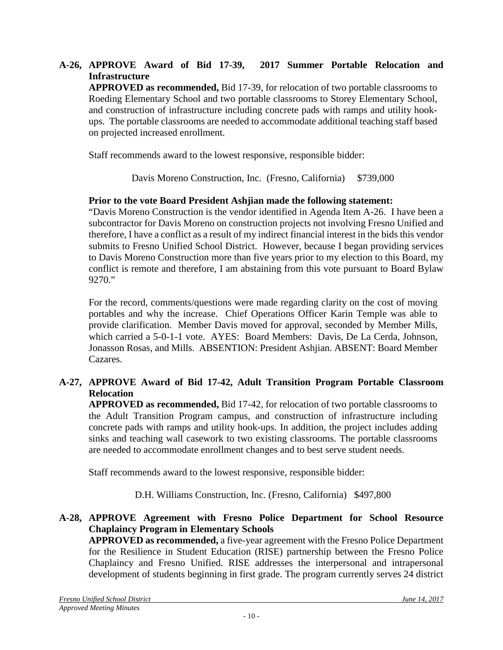**A-26, APPROVE Award of Bid 17-39, 2017 Summer Portable Relocation and Infrastructure APPROVED as recommended,** Bid 17-39, for relocation of two portable classrooms to Roeding Elementary School and two portable classrooms to Storey Elementary School, and construction of infrastructure including concrete pads with ramps and utility hookups. The portable classrooms are needed to accommodate additional teaching staff based on projected increased enrollment.

Staff recommends award to the lowest responsive, responsible bidder:

Davis Moreno Construction, Inc. (Fresno, California) \$739,000

## **Prior to the vote Board President Ashjian made the following statement:**

"Davis Moreno Construction is the vendor identified in Agenda Item A-26. I have been a subcontractor for Davis Moreno on construction projects not involving Fresno Unified and therefore, I have a conflict as a result of my indirect financial interest in the bids this vendor submits to Fresno Unified School District. However, because I began providing services to Davis Moreno Construction more than five years prior to my election to this Board, my conflict is remote and therefore, I am abstaining from this vote pursuant to Board Bylaw 9270."

For the record, comments/questions were made regarding clarity on the cost of moving portables and why the increase. Chief Operations Officer Karin Temple was able to provide clarification. Member Davis moved for approval, seconded by Member Mills, which carried a 5-0-1-1 vote. AYES: Board Members: Davis, De La Cerda, Johnson, Jonasson Rosas, and Mills. ABSENTION: President Ashjian. ABSENT: Board Member Cazares.

# **A-27, APPROVE Award of Bid 17-42, Adult Transition Program Portable Classroom Relocation**

**APPROVED as recommended,** Bid 17-42, for relocation of two portable classrooms to the Adult Transition Program campus, and construction of infrastructure including concrete pads with ramps and utility hook-ups. In addition, the project includes adding sinks and teaching wall casework to two existing classrooms. The portable classrooms are needed to accommodate enrollment changes and to best serve student needs.

Staff recommends award to the lowest responsive, responsible bidder:

D.H. Williams Construction, Inc. (Fresno, California) \$497,800

## **A-28, APPROVE Agreement with Fresno Police Department for School Resource Chaplaincy Program in Elementary Schools**

**APPROVED as recommended,** a five-year agreement with the Fresno Police Department for the Resilience in Student Education (RISE) partnership between the Fresno Police Chaplaincy and Fresno Unified. RISE addresses the interpersonal and intrapersonal development of students beginning in first grade. The program currently serves 24 district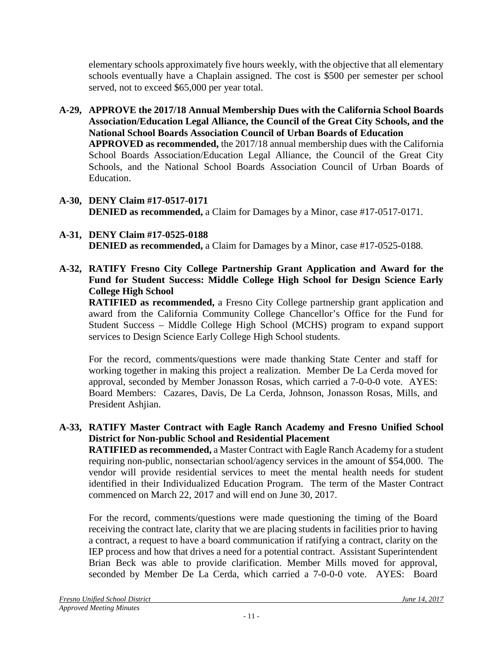elementary schools approximately five hours weekly, with the objective that all elementary schools eventually have a Chaplain assigned. The cost is \$500 per semester per school served, not to exceed \$65,000 per year total.

- **A-29, APPROVE the 2017/18 Annual Membership Dues with the California School Boards Association/Education Legal Alliance, the Council of the Great City Schools, and the National School Boards Association Council of Urban Boards of Education APPROVED as recommended,** the 2017/18 annual membership dues with the California School Boards Association/Education Legal Alliance, the Council of the Great City Schools, and the National School Boards Association Council of Urban Boards of Education.
- **A-30, DENY Claim #17-0517-0171 DENIED as recommended,** a Claim for Damages by a Minor, case #17-0517-0171.
- **A-31, DENY Claim #17-0525-0188 DENIED as recommended,** a Claim for Damages by a Minor, case #17-0525-0188.
- **A-32, RATIFY Fresno City College Partnership Grant Application and Award for the Fund for Student Success: Middle College High School for Design Science Early College High School**

**RATIFIED as recommended,** a Fresno City College partnership grant application and award from the California Community College Chancellor's Office for the Fund for Student Success – Middle College High School (MCHS) program to expand support services to Design Science Early College High School students.

For the record, comments/questions were made thanking State Center and staff for working together in making this project a realization. Member De La Cerda moved for approval, seconded by Member Jonasson Rosas, which carried a 7-0-0-0 vote. AYES: Board Members: Cazares, Davis, De La Cerda, Johnson, Jonasson Rosas, Mills, and President Ashjian.

# **A-33, RATIFY Master Contract with Eagle Ranch Academy and Fresno Unified School District for Non-public School and Residential Placement**

**RATIFIED as recommended,** a Master Contract with Eagle Ranch Academy for a student requiring non-public, nonsectarian school/agency services in the amount of \$54,000. The vendor will provide residential services to meet the mental health needs for student identified in their Individualized Education Program. The term of the Master Contract commenced on March 22, 2017 and will end on June 30, 2017.

For the record, comments/questions were made questioning the timing of the Board receiving the contract late, clarity that we are placing students in facilities prior to having a contract, a request to have a board communication if ratifying a contract, clarity on the IEP process and how that drives a need for a potential contract. Assistant Superintendent Brian Beck was able to provide clarification. Member Mills moved for approval, seconded by Member De La Cerda, which carried a 7-0-0-0 vote. AYES: Board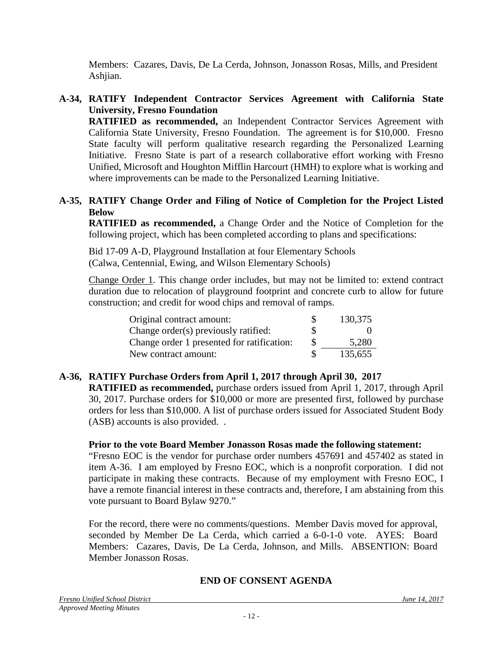Members: Cazares, Davis, De La Cerda, Johnson, Jonasson Rosas, Mills, and President Ashjian.

# **A-34, RATIFY Independent Contractor Services Agreement with California State University, Fresno Foundation**

**RATIFIED as recommended,** an Independent Contractor Services Agreement with California State University, Fresno Foundation. The agreement is for \$10,000. Fresno State faculty will perform qualitative research regarding the Personalized Learning Initiative. Fresno State is part of a research collaborative effort working with Fresno Unified, Microsoft and Houghton Mifflin Harcourt (HMH) to explore what is working and where improvements can be made to the Personalized Learning Initiative.

## **A-35, RATIFY Change Order and Filing of Notice of Completion for the Project Listed Below**

**RATIFIED as recommended,** a Change Order and the Notice of Completion for the following project, which has been completed according to plans and specifications:

Bid 17-09 A-D, Playground Installation at four Elementary Schools (Calwa, Centennial, Ewing, and Wilson Elementary Schools)

Change Order 1. This change order includes, but may not be limited to: extend contract duration due to relocation of playground footprint and concrete curb to allow for future construction; and credit for wood chips and removal of ramps.

| Original contract amount:                  | S   | 130,375 |
|--------------------------------------------|-----|---------|
| Change order(s) previously ratified:       | \$  |         |
| Change order 1 presented for ratification: | \$. | 5,280   |
| New contract amount:                       |     | 135,655 |

# **A-36, RATIFY Purchase Orders from April 1, 2017 through April 30, 2017**

**RATIFIED as recommended,** purchase orders issued from April 1, 2017, through April 30, 2017. Purchase orders for \$10,000 or more are presented first, followed by purchase orders for less than \$10,000. A list of purchase orders issued for Associated Student Body (ASB) accounts is also provided. .

### **Prior to the vote Board Member Jonasson Rosas made the following statement:**

"Fresno EOC is the vendor for purchase order numbers 457691 and 457402 as stated in item A-36. I am employed by Fresno EOC, which is a nonprofit corporation. I did not participate in making these contracts. Because of my employment with Fresno EOC, I have a remote financial interest in these contracts and, therefore, I am abstaining from this vote pursuant to Board Bylaw 9270."

For the record, there were no comments/questions. Member Davis moved for approval, seconded by Member De La Cerda, which carried a 6-0-1-0 vote. AYES: Board Members: Cazares, Davis, De La Cerda, Johnson, and Mills. ABSENTION: Board Member Jonasson Rosas.

### **END OF CONSENT AGENDA**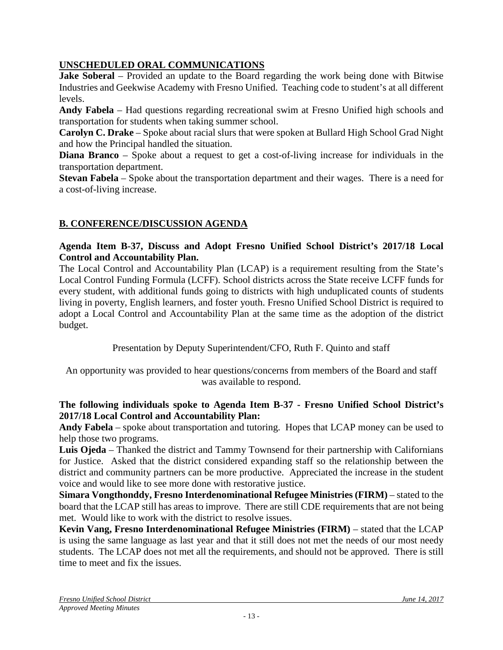# **UNSCHEDULED ORAL COMMUNICATIONS**

**Jake Soberal** – Provided an update to the Board regarding the work being done with Bitwise Industries and Geekwise Academy with Fresno Unified. Teaching code to student's at all different levels.

**Andy Fabela** – Had questions regarding recreational swim at Fresno Unified high schools and transportation for students when taking summer school.

**Carolyn C. Drake** – Spoke about racial slurs that were spoken at Bullard High School Grad Night and how the Principal handled the situation.

**Diana Branco** – Spoke about a request to get a cost-of-living increase for individuals in the transportation department.

**Stevan Fabela** – Spoke about the transportation department and their wages. There is a need for a cost-of-living increase.

# **B. CONFERENCE/DISCUSSION AGENDA**

## **Agenda Item B-37, Discuss and Adopt Fresno Unified School District's 2017/18 Local Control and Accountability Plan.**

The Local Control and Accountability Plan (LCAP) is a requirement resulting from the State's Local Control Funding Formula (LCFF). School districts across the State receive LCFF funds for every student, with additional funds going to districts with high unduplicated counts of students living in poverty, English learners, and foster youth. Fresno Unified School District is required to adopt a Local Control and Accountability Plan at the same time as the adoption of the district budget.

Presentation by Deputy Superintendent/CFO, Ruth F. Quinto and staff

An opportunity was provided to hear questions/concerns from members of the Board and staff was available to respond.

### **The following individuals spoke to Agenda Item B-37 - Fresno Unified School District's 2017/18 Local Control and Accountability Plan:**

**Andy Fabela** – spoke about transportation and tutoring. Hopes that LCAP money can be used to help those two programs.

**Luis Ojeda** – Thanked the district and Tammy Townsend for their partnership with Californians for Justice. Asked that the district considered expanding staff so the relationship between the district and community partners can be more productive. Appreciated the increase in the student voice and would like to see more done with restorative justice.

**Simara Vongthonddy, Fresno Interdenominational Refugee Ministries (FIRM)** – stated to the board that the LCAP still has areas to improve. There are still CDE requirements that are not being met. Would like to work with the district to resolve issues.

**Kevin Vang, Fresno Interdenominational Refugee Ministries (FIRM)** – stated that the LCAP is using the same language as last year and that it still does not met the needs of our most needy students. The LCAP does not met all the requirements, and should not be approved. There is still time to meet and fix the issues.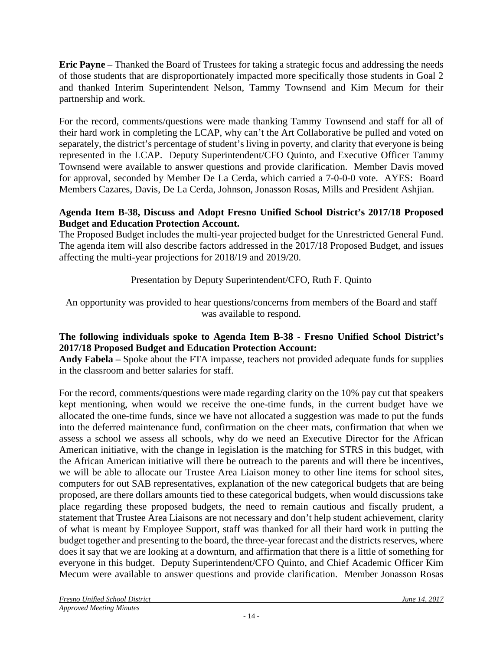**Eric Payne** – Thanked the Board of Trustees for taking a strategic focus and addressing the needs of those students that are disproportionately impacted more specifically those students in Goal 2 and thanked Interim Superintendent Nelson, Tammy Townsend and Kim Mecum for their partnership and work.

For the record, comments/questions were made thanking Tammy Townsend and staff for all of their hard work in completing the LCAP, why can't the Art Collaborative be pulled and voted on separately, the district's percentage of student's living in poverty, and clarity that everyone is being represented in the LCAP. Deputy Superintendent/CFO Quinto, and Executive Officer Tammy Townsend were available to answer questions and provide clarification. Member Davis moved for approval, seconded by Member De La Cerda, which carried a 7-0-0-0 vote. AYES: Board Members Cazares, Davis, De La Cerda, Johnson, Jonasson Rosas, Mills and President Ashjian.

## **Agenda Item B-38, Discuss and Adopt Fresno Unified School District's 2017/18 Proposed Budget and Education Protection Account.**

The Proposed Budget includes the multi-year projected budget for the Unrestricted General Fund. The agenda item will also describe factors addressed in the 2017/18 Proposed Budget, and issues affecting the multi-year projections for 2018/19 and 2019/20.

Presentation by Deputy Superintendent/CFO, Ruth F. Quinto

An opportunity was provided to hear questions/concerns from members of the Board and staff was available to respond.

# **The following individuals spoke to Agenda Item B-38 - Fresno Unified School District's 2017/18 Proposed Budget and Education Protection Account:**

**Andy Fabela –** Spoke about the FTA impasse, teachers not provided adequate funds for supplies in the classroom and better salaries for staff.

For the record, comments/questions were made regarding clarity on the 10% pay cut that speakers kept mentioning, when would we receive the one-time funds, in the current budget have we allocated the one-time funds, since we have not allocated a suggestion was made to put the funds into the deferred maintenance fund, confirmation on the cheer mats, confirmation that when we assess a school we assess all schools, why do we need an Executive Director for the African American initiative, with the change in legislation is the matching for STRS in this budget, with the African American initiative will there be outreach to the parents and will there be incentives, we will be able to allocate our Trustee Area Liaison money to other line items for school sites, computers for out SAB representatives, explanation of the new categorical budgets that are being proposed, are there dollars amounts tied to these categorical budgets, when would discussions take place regarding these proposed budgets, the need to remain cautious and fiscally prudent, a statement that Trustee Area Liaisons are not necessary and don't help student achievement, clarity of what is meant by Employee Support, staff was thanked for all their hard work in putting the budget together and presenting to the board, the three-year forecast and the districts reserves, where does it say that we are looking at a downturn, and affirmation that there is a little of something for everyone in this budget. Deputy Superintendent/CFO Quinto, and Chief Academic Officer Kim Mecum were available to answer questions and provide clarification. Member Jonasson Rosas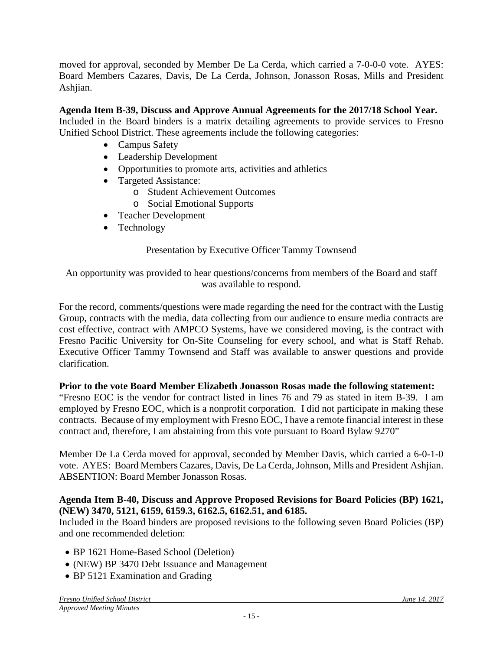moved for approval, seconded by Member De La Cerda, which carried a 7-0-0-0 vote. AYES: Board Members Cazares, Davis, De La Cerda, Johnson, Jonasson Rosas, Mills and President Ashjian.

# **Agenda Item B-39, Discuss and Approve Annual Agreements for the 2017/18 School Year.**

Included in the Board binders is a matrix detailing agreements to provide services to Fresno Unified School District. These agreements include the following categories:

- Campus Safety
- Leadership Development
- Opportunities to promote arts, activities and athletics
- Targeted Assistance:
	- o Student Achievement Outcomes
	- o Social Emotional Supports
- Teacher Development
- Technology

# Presentation by Executive Officer Tammy Townsend

An opportunity was provided to hear questions/concerns from members of the Board and staff was available to respond.

For the record, comments/questions were made regarding the need for the contract with the Lustig Group, contracts with the media, data collecting from our audience to ensure media contracts are cost effective, contract with AMPCO Systems, have we considered moving, is the contract with Fresno Pacific University for On-Site Counseling for every school, and what is Staff Rehab. Executive Officer Tammy Townsend and Staff was available to answer questions and provide clarification.

# **Prior to the vote Board Member Elizabeth Jonasson Rosas made the following statement:**

"Fresno EOC is the vendor for contract listed in lines 76 and 79 as stated in item B-39. I am employed by Fresno EOC, which is a nonprofit corporation. I did not participate in making these contracts. Because of my employment with Fresno EOC, I have a remote financial interest in these contract and, therefore, I am abstaining from this vote pursuant to Board Bylaw 9270"

Member De La Cerda moved for approval, seconded by Member Davis, which carried a 6-0-1-0 vote. AYES: Board Members Cazares, Davis, De La Cerda, Johnson, Mills and President Ashjian. ABSENTION: Board Member Jonasson Rosas.

## **Agenda Item B-40, Discuss and Approve Proposed Revisions for Board Policies (BP) 1621, (NEW) 3470, 5121, 6159, 6159.3, 6162.5, 6162.51, and 6185.**

Included in the Board binders are proposed revisions to the following seven Board Policies (BP) and one recommended deletion:

- BP 1621 Home-Based School (Deletion)
- (NEW) BP 3470 Debt Issuance and Management
- BP 5121 Examination and Grading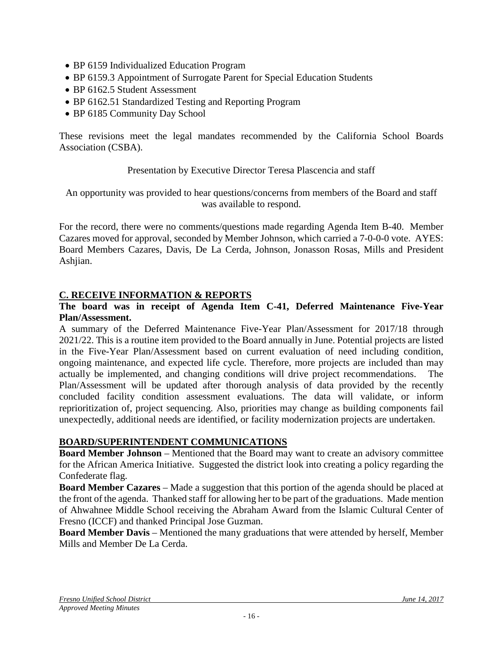- BP 6159 Individualized Education Program
- BP 6159.3 Appointment of Surrogate Parent for Special Education Students
- BP 6162.5 Student Assessment
- BP 6162.51 Standardized Testing and Reporting Program
- BP 6185 Community Day School

These revisions meet the legal mandates recommended by the California School Boards Association (CSBA).

### Presentation by Executive Director Teresa Plascencia and staff

An opportunity was provided to hear questions/concerns from members of the Board and staff was available to respond.

For the record, there were no comments/questions made regarding Agenda Item B-40. Member Cazares moved for approval, seconded by Member Johnson, which carried a 7-0-0-0 vote. AYES: Board Members Cazares, Davis, De La Cerda, Johnson, Jonasson Rosas, Mills and President Ashjian.

### **C. RECEIVE INFORMATION & REPORTS**

### **The board was in receipt of Agenda Item C-41, Deferred Maintenance Five-Year Plan/Assessment.**

A summary of the Deferred Maintenance Five-Year Plan/Assessment for 2017/18 through 2021/22. This is a routine item provided to the Board annually in June. Potential projects are listed in the Five-Year Plan/Assessment based on current evaluation of need including condition, ongoing maintenance, and expected life cycle. Therefore, more projects are included than may actually be implemented, and changing conditions will drive project recommendations. The Plan/Assessment will be updated after thorough analysis of data provided by the recently concluded facility condition assessment evaluations. The data will validate, or inform reprioritization of, project sequencing. Also, priorities may change as building components fail unexpectedly, additional needs are identified, or facility modernization projects are undertaken.

### **BOARD/SUPERINTENDENT COMMUNICATIONS**

**Board Member Johnson** – Mentioned that the Board may want to create an advisory committee for the African America Initiative. Suggested the district look into creating a policy regarding the Confederate flag.

**Board Member Cazares** – Made a suggestion that this portion of the agenda should be placed at the front of the agenda. Thanked staff for allowing her to be part of the graduations. Made mention of Ahwahnee Middle School receiving the Abraham Award from the Islamic Cultural Center of Fresno (ICCF) and thanked Principal Jose Guzman.

**Board Member Davis** – Mentioned the many graduations that were attended by herself, Member Mills and Member De La Cerda.